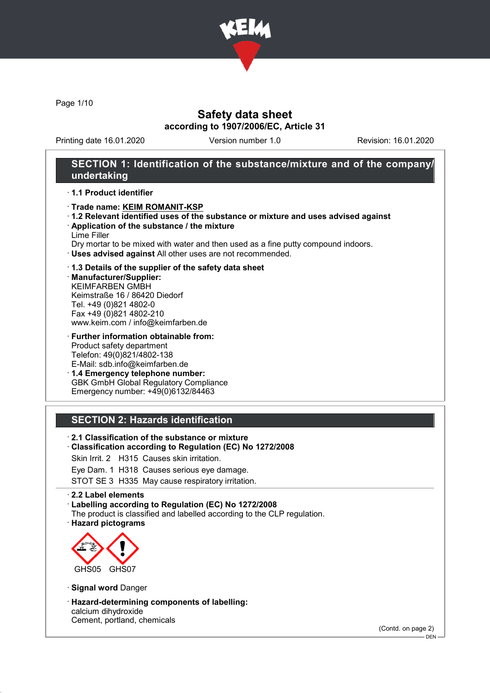

Page 1/10

## Safety data sheet according to 1907/2006/EC, Article 31

Printing date 16.01.2020 Version number 1.0 Revision: 16.01.2020

## SECTION 1: Identification of the substance/mixture and of the company/ undertaking

### · 1.1 Product identifier

- · Trade name: KEIM ROMANIT-KSP
- · 1.2 Relevant identified uses of the substance or mixture and uses advised against
- · Application of the substance / the mixture Lime Filler
- Dry mortar to be mixed with water and then used as a fine putty compound indoors.
- · Uses advised against All other uses are not recommended.
- · 1.3 Details of the supplier of the safety data sheet

· Manufacturer/Supplier: KEIMFARBEN GMBH Keimstraße 16 / 86420 Diedorf Tel. +49 (0)821 4802-0 Fax +49 (0)821 4802-210 www.keim.com / info@keimfarben.de

- · Further information obtainable from: Product safety department Telefon: 49(0)821/4802-138 E-Mail: sdb.info@keimfarben.de
- · 1.4 Emergency telephone number: GBK GmbH Global Regulatory Compliance Emergency number: +49(0)6132/84463

## SECTION 2: Hazards identification

- · 2.1 Classification of the substance or mixture
- · Classification according to Regulation (EC) No 1272/2008
- Skin Irrit. 2 H315 Causes skin irritation.
- Eye Dam. 1 H318 Causes serious eye damage.
- STOT SE 3 H335 May cause respiratory irritation.

#### · 2.2 Label elements

· Labelling according to Regulation (EC) No 1272/2008

- The product is classified and labelled according to the CLP regulation.
- · Hazard pictograms



- · Signal word Danger
- · Hazard-determining components of labelling: calcium dihydroxide Cement, portland, chemicals

(Contd. on page 2)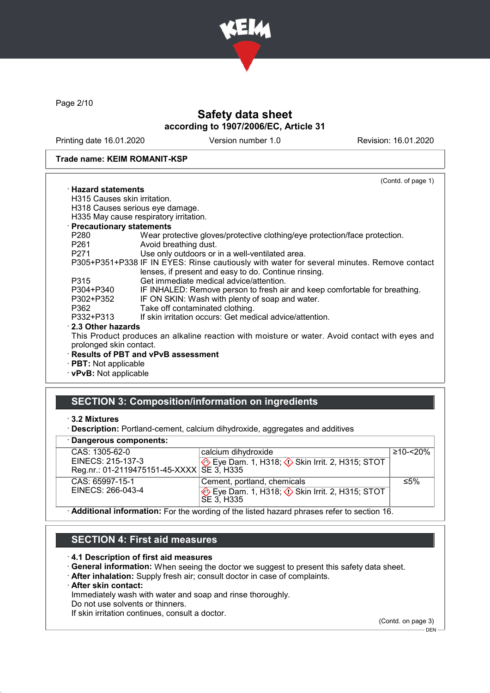

Page 2/10

# Safety data sheet according to 1907/2006/EC, Article 31

Printing date 16.01.2020 Version number 1.0 Revision: 16.01.2020

#### Trade name: KEIM ROMANIT-KSP

|                              | (Contd. of page 1)                                                                             |  |
|------------------------------|------------------------------------------------------------------------------------------------|--|
| $\cdot$ Hazard statements    |                                                                                                |  |
| H315 Causes skin irritation. |                                                                                                |  |
|                              | H318 Causes serious eye damage.                                                                |  |
|                              | H335 May cause respiratory irritation.                                                         |  |
| · Precautionary statements   |                                                                                                |  |
| P280                         | Wear protective gloves/protective clothing/eye protection/face protection.                     |  |
| P261                         | Avoid breathing dust.                                                                          |  |
| P271 20                      | Use only outdoors or in a well-ventilated area.                                                |  |
|                              | P305+P351+P338 IF IN EYES: Rinse cautiously with water for several minutes. Remove contact     |  |
|                              | lenses, if present and easy to do. Continue rinsing.                                           |  |
| P315                         | Get immediate medical advice/attention.                                                        |  |
| P304+P340                    | IF INHALED: Remove person to fresh air and keep comfortable for breathing.                     |  |
| P302+P352                    | IF ON SKIN: Wash with plenty of soap and water.                                                |  |
| P362                         | Take off contaminated clothing.                                                                |  |
| P332+P313                    | If skin irritation occurs: Get medical advice/attention.                                       |  |
| 2.3 Other hazards            |                                                                                                |  |
|                              | This Product produces an alkaline reaction with moisture or water. Avoid contact with eyes and |  |
| prolonged skin contact.      |                                                                                                |  |
|                              | <b>Results of PBT and vPvB assessment</b>                                                      |  |
| · PBT: Not applicable        |                                                                                                |  |
| · vPvB: Not applicable       |                                                                                                |  |
|                              |                                                                                                |  |

## SECTION 3: Composition/information on ingredients

### · 3.2 Mixtures

· Description: Portland-cement, calcium dihydroxide, aggregates and additives

### · Dangerous components:

| <b>Dangerous components.</b>                                                                                   |                                                        |              |  |  |
|----------------------------------------------------------------------------------------------------------------|--------------------------------------------------------|--------------|--|--|
| CAS: 1305-62-0                                                                                                 | calcium dihydroxide                                    | $≥10 - 520%$ |  |  |
| EINECS: 215-137-3                                                                                              | Eye Dam. 1, H318; Skin Irrit. 2, H315; STOT            |              |  |  |
| Reg.nr.: 01-2119475151-45-XXXX   SE 3, H335                                                                    |                                                        |              |  |  |
| CAS: 65997-15-1                                                                                                | Cement, portland, chemicals                            | ≤5%          |  |  |
| EINECS: 266-043-4                                                                                              | Eye Dam. 1, H318; $\Diamond$ Skin Irrit. 2, H315; STOT |              |  |  |
|                                                                                                                | SE 3. H335                                             |              |  |  |
| A و منظوم من علم ما و موجود و استخدام المناطق المعلمين من الموجود و من المعلم العام العام العام و المالي العام |                                                        |              |  |  |

· Additional information: For the wording of the listed hazard phrases refer to section 16.

# SECTION 4: First aid measures

#### · 4.1 Description of first aid measures

- · General information: When seeing the doctor we suggest to present this safety data sheet.
- · After inhalation: Supply fresh air; consult doctor in case of complaints.
- · After skin contact:

Immediately wash with water and soap and rinse thoroughly.

Do not use solvents or thinners.

If skin irritation continues, consult a doctor.

(Contd. on page 3)  $-$  DEN  $-$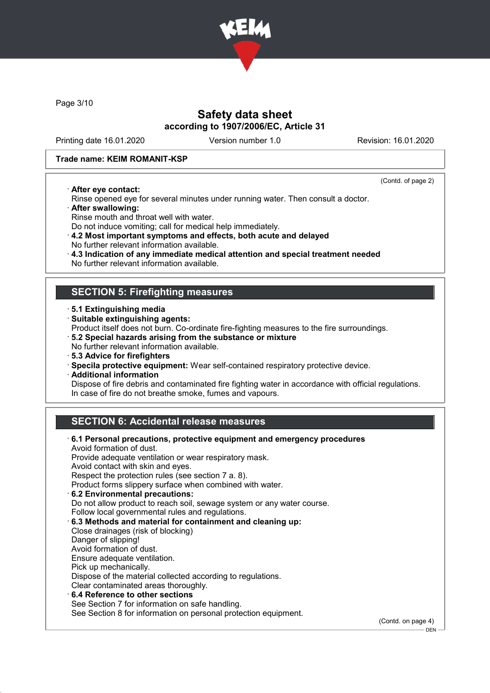

Page 3/10

## Safety data sheet according to 1907/2006/EC, Article 31

Printing date 16.01.2020 Version number 1.0 Revision: 16.01.2020

### Trade name: KEIM ROMANIT-KSP

· After eye contact:

(Contd. of page 2)

DEN

- Rinse opened eye for several minutes under running water. Then consult a doctor.
- · After swallowing:
- Rinse mouth and throat well with water.
- Do not induce vomiting; call for medical help immediately.
- · 4.2 Most important symptoms and effects, both acute and delayed No further relevant information available.
- · 4.3 Indication of any immediate medical attention and special treatment needed
- No further relevant information available.

## SECTION 5: Firefighting measures

- · 5.1 Extinguishing media
- · Suitable extinguishing agents:
- Product itself does not burn. Co-ordinate fire-fighting measures to the fire surroundings.
- · 5.2 Special hazards arising from the substance or mixture
- No further relevant information available.
- · 5.3 Advice for firefighters
- · Specila protective equipment: Wear self-contained respiratory protective device.
- · Additional information

Dispose of fire debris and contaminated fire fighting water in accordance with official regulations. In case of fire do not breathe smoke, fumes and vapours.

## SECTION 6: Accidental release measures

| 6.1 Personal precautions, protective equipment and emergency procedures<br>Avoid formation of dust. |                    |
|-----------------------------------------------------------------------------------------------------|--------------------|
| Provide adequate ventilation or wear respiratory mask.                                              |                    |
| Avoid contact with skin and eyes.                                                                   |                    |
| Respect the protection rules (see section 7 a. 8).                                                  |                    |
| Product forms slippery surface when combined with water.                                            |                    |
| 6.2 Environmental precautions:                                                                      |                    |
| Do not allow product to reach soil, sewage system or any water course.                              |                    |
| Follow local governmental rules and regulations.                                                    |                    |
| 6.3 Methods and material for containment and cleaning up:                                           |                    |
| Close drainages (risk of blocking)                                                                  |                    |
| Danger of slipping!                                                                                 |                    |
| Avoid formation of dust.                                                                            |                    |
| Ensure adequate ventilation.                                                                        |                    |
| Pick up mechanically.                                                                               |                    |
| Dispose of the material collected according to regulations.                                         |                    |
| Clear contaminated areas thoroughly.                                                                |                    |
| $\cdot$ 6.4 Reference to other sections                                                             |                    |
| See Section 7 for information on safe handling.                                                     |                    |
| See Section 8 for information on personal protection equipment.                                     |                    |
|                                                                                                     | (Contd. on page 4) |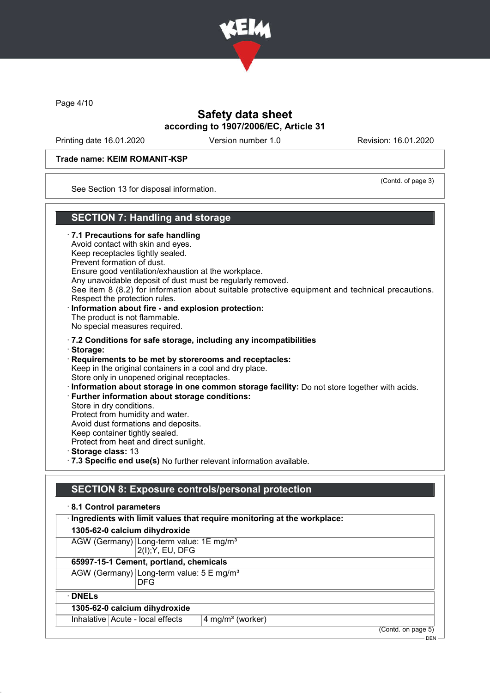

Page 4/10

## Safety data sheet according to 1907/2006/EC, Article 31

Printing date 16.01.2020 Version number 1.0 Revision: 16.01.2020

(Contd. of page 3)

### Trade name: KEIM ROMANIT-KSP

See Section 13 for disposal information.

## SECTION 7: Handling and storage

· 7.1 Precautions for safe handling Avoid contact with skin and eyes. Keep receptacles tightly sealed. Prevent formation of dust. Ensure good ventilation/exhaustion at the workplace. Any unavoidable deposit of dust must be regularly removed. See item 8 (8.2) for information about suitable protective equipment and technical precautions. Respect the protection rules. Information about fire - and explosion protection: The product is not flammable. No special measures required. · 7.2 Conditions for safe storage, including any incompatibilities · Storage: · Requirements to be met by storerooms and receptacles: Keep in the original containers in a cool and dry place. Store only in unopened original receptacles. · Information about storage in one common storage facility: Do not store together with acids. · Further information about storage conditions: Store in dry conditions. Protect from humidity and water. Avoid dust formations and deposits. Keep container tightly sealed. Protect from heat and direct sunlight. · Storage class: 13 · 7.3 Specific end use(s) No further relevant information available.

## SECTION 8: Exposure controls/personal protection

## · 8.1 Control parameters · Ingredients with limit values that require monitoring at the workplace: 1305-62-0 calcium dihydroxide AGW (Germany) Long-term value: 1E mg/m<sup>3</sup> 2(I);Y, EU, DFG 65997-15-1 Cement, portland, chemicals AGW (Germany) Long-term value: 5 E mg/m<sup>3</sup> DFG · DNELs 1305-62-0 calcium dihydroxide Inhalative  $Acute$  - local effects  $4$  mg/m<sup>3</sup> (worker) (Contd. on page 5)

DEN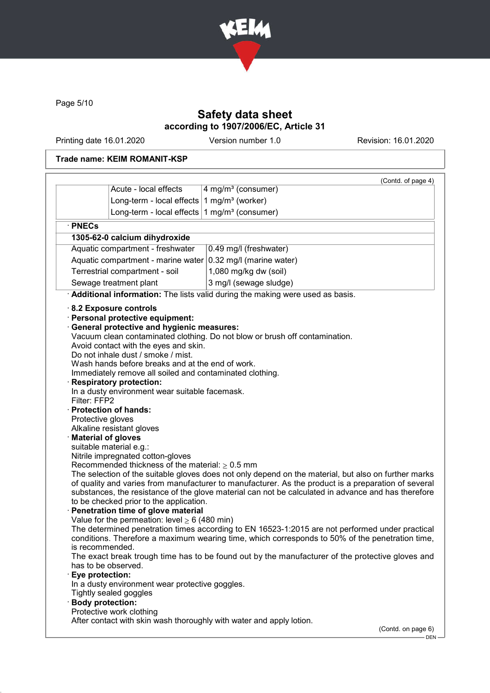

Page 5/10

# Safety data sheet according to 1907/2006/EC, Article 31

Printing date 16.01.2020 Version number 1.0 Revision: 16.01.2020

## Trade name: KEIM ROMANIT-KSP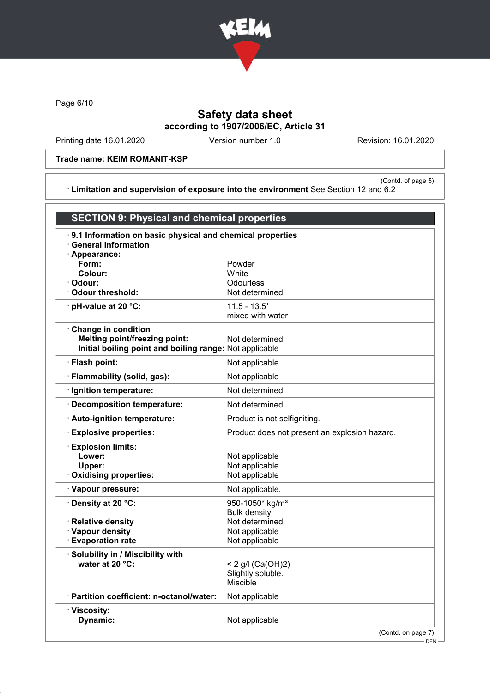

Page 6/10

# Safety data sheet according to 1907/2006/EC, Article 31

Printing date 16.01.2020 Version number 1.0 Revision: 16.01.2020

### Trade name: KEIM ROMANIT-KSP

(Contd. of page 5) · Limitation and supervision of exposure into the environment See Section 12 and 6.2

| .9.1 Information on basic physical and chemical properties<br><b>General Information</b><br>· Appearance:<br>Form:<br>Powder<br>Colour:<br>White<br>Odourless<br>· Odour:<br><b>Odour threshold:</b><br>Not determined<br>· pH-value at 20 °C:<br>$11.5 - 13.5*$<br>mixed with water<br>Change in condition<br><b>Melting point/freezing point:</b><br>Not determined<br>Initial boiling point and boiling range: Not applicable<br>· Flash point:<br>Not applicable<br>· Flammability (solid, gas):<br>Not applicable<br>Not determined<br>· Ignition temperature: |  |
|---------------------------------------------------------------------------------------------------------------------------------------------------------------------------------------------------------------------------------------------------------------------------------------------------------------------------------------------------------------------------------------------------------------------------------------------------------------------------------------------------------------------------------------------------------------------|--|
|                                                                                                                                                                                                                                                                                                                                                                                                                                                                                                                                                                     |  |
|                                                                                                                                                                                                                                                                                                                                                                                                                                                                                                                                                                     |  |
|                                                                                                                                                                                                                                                                                                                                                                                                                                                                                                                                                                     |  |
|                                                                                                                                                                                                                                                                                                                                                                                                                                                                                                                                                                     |  |
|                                                                                                                                                                                                                                                                                                                                                                                                                                                                                                                                                                     |  |
|                                                                                                                                                                                                                                                                                                                                                                                                                                                                                                                                                                     |  |
|                                                                                                                                                                                                                                                                                                                                                                                                                                                                                                                                                                     |  |
|                                                                                                                                                                                                                                                                                                                                                                                                                                                                                                                                                                     |  |
|                                                                                                                                                                                                                                                                                                                                                                                                                                                                                                                                                                     |  |
|                                                                                                                                                                                                                                                                                                                                                                                                                                                                                                                                                                     |  |
| · Decomposition temperature:<br>Not determined                                                                                                                                                                                                                                                                                                                                                                                                                                                                                                                      |  |
| · Auto-ignition temperature:<br>Product is not selfigniting.                                                                                                                                                                                                                                                                                                                                                                                                                                                                                                        |  |
| <b>Explosive properties:</b><br>Product does not present an explosion hazard.                                                                                                                                                                                                                                                                                                                                                                                                                                                                                       |  |
| · Explosion limits:                                                                                                                                                                                                                                                                                                                                                                                                                                                                                                                                                 |  |
| Lower:<br>Not applicable                                                                                                                                                                                                                                                                                                                                                                                                                                                                                                                                            |  |
| Upper:<br>Not applicable                                                                                                                                                                                                                                                                                                                                                                                                                                                                                                                                            |  |
| Not applicable<br>Oxidising properties:                                                                                                                                                                                                                                                                                                                                                                                                                                                                                                                             |  |
| · Vapour pressure:<br>Not applicable.                                                                                                                                                                                                                                                                                                                                                                                                                                                                                                                               |  |
| · Density at 20 °C:<br>950-1050* kg/m <sup>3</sup>                                                                                                                                                                                                                                                                                                                                                                                                                                                                                                                  |  |
| <b>Bulk density</b>                                                                                                                                                                                                                                                                                                                                                                                                                                                                                                                                                 |  |
| · Relative density<br>Not determined                                                                                                                                                                                                                                                                                                                                                                                                                                                                                                                                |  |
| · Vapour density<br>Not applicable<br><b>Evaporation rate</b><br>Not applicable                                                                                                                                                                                                                                                                                                                                                                                                                                                                                     |  |
|                                                                                                                                                                                                                                                                                                                                                                                                                                                                                                                                                                     |  |
| · Solubility in / Miscibility with<br>water at 20 °C:<br>< 2 g/l (Ca(OH)2)                                                                                                                                                                                                                                                                                                                                                                                                                                                                                          |  |
| Slightly soluble.                                                                                                                                                                                                                                                                                                                                                                                                                                                                                                                                                   |  |
| <b>Miscible</b>                                                                                                                                                                                                                                                                                                                                                                                                                                                                                                                                                     |  |
| · Partition coefficient: n-octanol/water:<br>Not applicable                                                                                                                                                                                                                                                                                                                                                                                                                                                                                                         |  |
| · Viscosity:                                                                                                                                                                                                                                                                                                                                                                                                                                                                                                                                                        |  |
| Dynamic:<br>Not applicable                                                                                                                                                                                                                                                                                                                                                                                                                                                                                                                                          |  |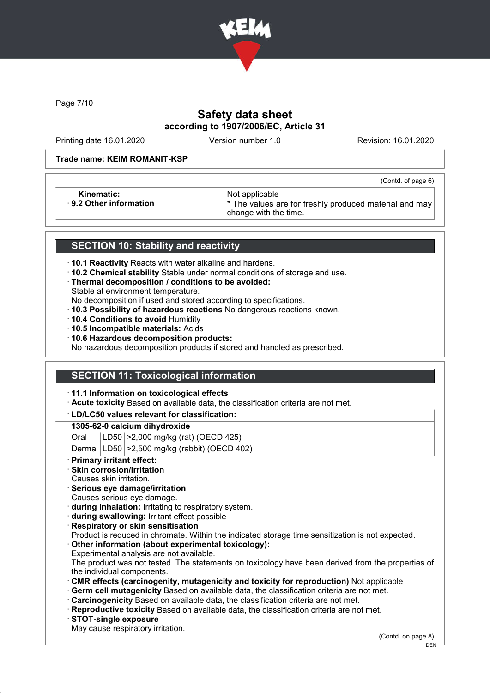

Page 7/10

# Safety data sheet according to 1907/2006/EC, Article 31

Printing date 16.01.2020 Version number 1.0 Revision: 16.01.2020

(Contd. of page 6)

### Trade name: KEIM ROMANIT-KSP

Kinematic: <br>B.2 Other information **Access 1986** Mot applicable **Research Access** 3

\* The values are for freshly produced material and may change with the time.

## SECTION 10: Stability and reactivity

- · 10.1 Reactivity Reacts with water alkaline and hardens.
- · 10.2 Chemical stability Stable under normal conditions of storage and use.
- · Thermal decomposition / conditions to be avoided:
- Stable at environment temperature.
- No decomposition if used and stored according to specifications.
- · 10.3 Possibility of hazardous reactions No dangerous reactions known.
- · 10.4 Conditions to avoid Humidity
- · 10.5 Incompatible materials: Acids
- · 10.6 Hazardous decomposition products:

No hazardous decomposition products if stored and handled as prescribed.

## SECTION 11: Toxicological information

· 11.1 Information on toxicological effects

· Acute toxicity Based on available data, the classification criteria are not met.

### · LD/LC50 values relevant for classification:

### 1305-62-0 calcium dihydroxide

Oral LD50 >2,000 mg/kg (rat) (OECD 425)

Dermal LD50 >2,500 mg/kg (rabbit) (OECD 402)

Primary irritant effect:

### Skin corrosion/irritation

- Causes skin irritation.
- · Serious eye damage/irritation
- Causes serious eye damage.
- · during inhalation: Irritating to respiratory system.
- · during swallowing: Irritant effect possible
- **Respiratory or skin sensitisation**
- Product is reduced in chromate. Within the indicated storage time sensitization is not expected.
- Other information (about experimental toxicology):
- Experimental analysis are not available.

The product was not tested. The statements on toxicology have been derived from the properties of the individual components.

- · CMR effects (carcinogenity, mutagenicity and toxicity for reproduction) Not applicable
- Germ cell mutagenicity Based on available data, the classification criteria are not met.
- · Carcinogenicity Based on available data, the classification criteria are not met.
- · Reproductive toxicity Based on available data, the classification criteria are not met.
- · STOT-single exposure
- May cause respiratory irritation.

(Contd. on page 8)

DEN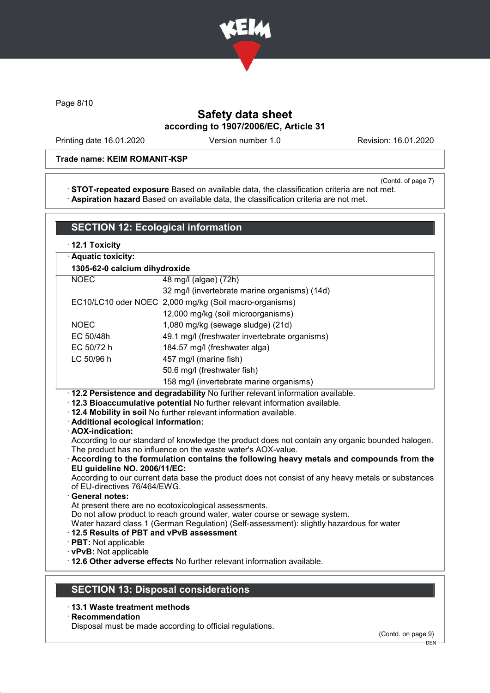

Page 8/10

# Safety data sheet according to 1907/2006/EC, Article 31

Printing date 16.01.2020 Version number 1.0 Revision: 16.01.2020

### Trade name: KEIM ROMANIT-KSP

(Contd. of page 7)

· STOT-repeated exposure Based on available data, the classification criteria are not met. · Aspiration hazard Based on available data, the classification criteria are not met.

|                                                                                                                                                                                                                                                                                                                                                                                                                                                                                                                                                                                                  | <b>SECTION 12: Ecological information</b>     |  |  |  |  |
|--------------------------------------------------------------------------------------------------------------------------------------------------------------------------------------------------------------------------------------------------------------------------------------------------------------------------------------------------------------------------------------------------------------------------------------------------------------------------------------------------------------------------------------------------------------------------------------------------|-----------------------------------------------|--|--|--|--|
| · 12.1 Toxicity                                                                                                                                                                                                                                                                                                                                                                                                                                                                                                                                                                                  |                                               |  |  |  |  |
| · Aquatic toxicity:                                                                                                                                                                                                                                                                                                                                                                                                                                                                                                                                                                              |                                               |  |  |  |  |
| 1305-62-0 calcium dihydroxide                                                                                                                                                                                                                                                                                                                                                                                                                                                                                                                                                                    |                                               |  |  |  |  |
| <b>NOEC</b>                                                                                                                                                                                                                                                                                                                                                                                                                                                                                                                                                                                      | 48 mg/l (algae) (72h)                         |  |  |  |  |
|                                                                                                                                                                                                                                                                                                                                                                                                                                                                                                                                                                                                  | 32 mg/l (invertebrate marine organisms) (14d) |  |  |  |  |
| EC10/LC10 oder NOEC                                                                                                                                                                                                                                                                                                                                                                                                                                                                                                                                                                              | 2,000 mg/kg (Soil macro-organisms)            |  |  |  |  |
|                                                                                                                                                                                                                                                                                                                                                                                                                                                                                                                                                                                                  | 12,000 mg/kg (soil microorganisms)            |  |  |  |  |
| <b>NOEC</b>                                                                                                                                                                                                                                                                                                                                                                                                                                                                                                                                                                                      | 1,080 mg/kg (sewage sludge) (21d)             |  |  |  |  |
| EC 50/48h                                                                                                                                                                                                                                                                                                                                                                                                                                                                                                                                                                                        | 49.1 mg/l (freshwater invertebrate organisms) |  |  |  |  |
| EC 50/72 h                                                                                                                                                                                                                                                                                                                                                                                                                                                                                                                                                                                       | 184.57 mg/l (freshwater alga)                 |  |  |  |  |
| LC 50/96 h                                                                                                                                                                                                                                                                                                                                                                                                                                                                                                                                                                                       | 457 mg/l (marine fish)                        |  |  |  |  |
|                                                                                                                                                                                                                                                                                                                                                                                                                                                                                                                                                                                                  | 50.6 mg/l (freshwater fish)                   |  |  |  |  |
|                                                                                                                                                                                                                                                                                                                                                                                                                                                                                                                                                                                                  | 158 mg/l (invertebrate marine organisms)      |  |  |  |  |
| According to our standard of knowledge the product does not contain any organic bounded halogen.<br>The product has no influence on the waste water's AOX-value.<br>According to the formulation contains the following heavy metals and compounds from the<br>EU guideline NO. 2006/11/EC:<br>According to our current data base the product does not consist of any heavy metals or substances<br>of EU-directives 76/464/EWG.<br><b>General notes:</b><br>At present there are no ecotoxicological assessments.<br>Do not allow product to reach ground water, water course or sewage system. |                                               |  |  |  |  |
| Water hazard class 1 (German Regulation) (Self-assessment): slightly hazardous for water<br>12.5 Results of PBT and vPvB assessment<br>· PBT: Not applicable<br>· vPvB: Not applicable<br>. 12.6 Other adverse effects No further relevant information available.                                                                                                                                                                                                                                                                                                                                |                                               |  |  |  |  |

- · 13.1 Waste treatment methods
- · Recommendation

Disposal must be made according to official regulations.

<sup>–</sup> DEN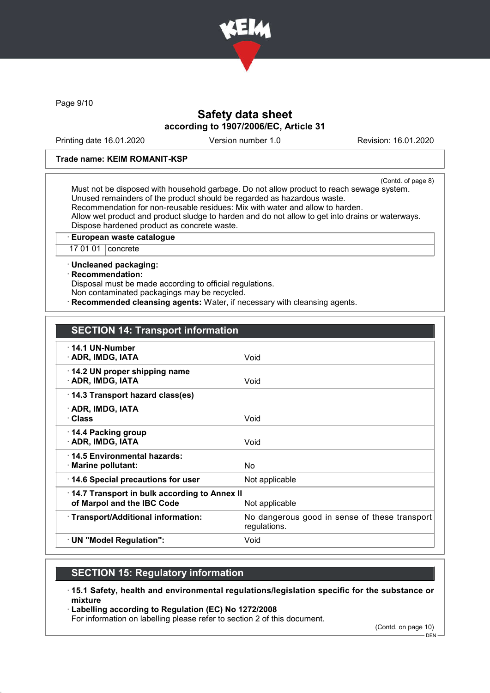

Page 9/10

## Safety data sheet according to 1907/2006/EC, Article 31

Printing date 16.01.2020 Version number 1.0 Revision: 16.01.2020

### Trade name: KEIM ROMANIT-KSP

(Contd. of page 8) Must not be disposed with household garbage. Do not allow product to reach sewage system. Unused remainders of the product should be regarded as hazardous waste. Recommendation for non-reusable residues: Mix with water and allow to harden. Allow wet product and product sludge to harden and do not allow to get into drains or waterways. Dispose hardened product as concrete waste.

· European waste catalogue

17 01 01 | concrete

· Uncleaned packaging:

· Recommendation:

Disposal must be made according to official regulations.

Non contaminated packagings may be recycled.

Recommended cleansing agents: Water, if necessary with cleansing agents.

## SECTION 14: Transport information

| $\cdot$ 14.1 UN-Number<br>· ADR, IMDG, IATA       | Void                                                          |
|---------------------------------------------------|---------------------------------------------------------------|
|                                                   |                                                               |
| 14.2 UN proper shipping name<br>· ADR, IMDG, IATA | Void                                                          |
| 14.3 Transport hazard class(es)                   |                                                               |
| · ADR, IMDG, IATA                                 |                                                               |
| · Class                                           | Void                                                          |
| 14.4 Packing group                                |                                                               |
| · ADR, IMDG, IATA                                 | Void                                                          |
|                                                   |                                                               |
| ⋅14.5 Environmental hazards:                      |                                                               |
| · Marine pollutant:                               | No.                                                           |
| 14.6 Special precautions for user                 | Not applicable                                                |
| 14.7 Transport in bulk according to Annex II      |                                                               |
| of Marpol and the IBC Code                        | Not applicable                                                |
| · Transport/Additional information:               | No dangerous good in sense of these transport<br>regulations. |
| · UN "Model Regulation":                          | Void                                                          |

## SECTION 15: Regulatory information

· 15.1 Safety, health and environmental regulations/legislation specific for the substance or mixture

· Labelling according to Regulation (EC) No 1272/2008

For information on labelling please refer to section 2 of this document.

(Contd. on page 10)

DEN